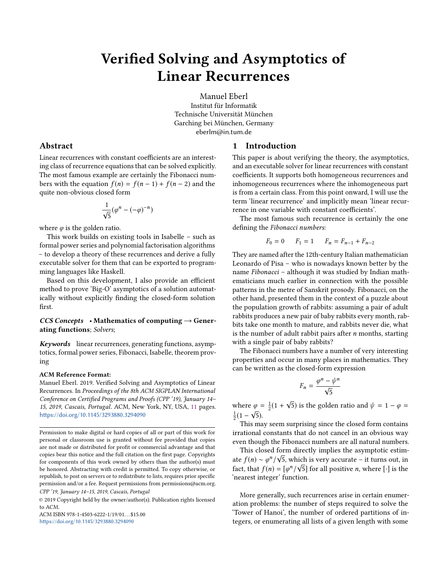# Verified Solving and Asymptotics of Linear Recurrences

Manuel Eberl Institut für Informatik Technische Universität München Garching bei München, Germany eberlm@in.tum.de

## 1 Introduction

This paper is about verifying the theory, the asymptotics, and an executable solver for linear recurrences with constant coefficients. It supports both homogeneous recurrences and inhomogeneous recurrences where the inhomogeneous part is from a certain class. From this point onward, I will use the term 'linear recurrence' and implicitly mean 'linear recurrence in one variable with constant coefficients'.

The most famous such recurrence is certainly the one defining the Fibonacci numbers:

$$
F_0 = 0 \t F_1 = 1 \t F_n = F_{n-1} + F_{n-2}
$$

They are named after the 12th-century Italian mathematician Leonardo of Pisa – who is nowadays known better by the name Fibonacci – although it was studied by Indian mathematicians much earlier in connection with the possible patterns in the metre of Sanskrit prosody. Fibonacci, on the other hand, presented them in the context of a puzzle about the population growth of rabbits: assuming a pair of adult rabbits produces a new pair of baby rabbits every month, rabbits take one month to mature, and rabbits never die, what is the number of adult rabbit pairs after  $n$  months, starting with a single pair of baby rabbits?

The Fibonacci numbers have a number of very interesting properties and occur in many places in mathematics. They can be written as the closed-form expression

$$
F_n = \frac{\varphi^n - \psi^n}{\sqrt{5}}
$$

where  $\varphi = \frac{1}{2}(1 + \frac{1}{2})$ √  $\alpha \varphi = \frac{1}{2}(1 + \sqrt{5})$  is the golden ratio and  $\psi = 1 - \varphi = \sqrt{5}$ .  $\frac{1}{2}(1-\sqrt{5}).$ 

This may seem surprising since the closed form contains irrational constants that do not cancel in an obvious way even though the Fibonacci numbers are all natural numbers.

This closed form directly implies the asymptotic estimate  $f(n) \sim \varphi^n / \sqrt{5}$ , which is very accurate – it turns out, in fact, that  $f(n) = \lceil \varphi^n / \sqrt{5} \rceil$  for all positive *n*, where [.] is the fact, that  $f(n) = \left[\varphi^n / \sqrt{5}\right]$  for all positive *n*, where [·] is the 'nearest integer' function 'nearest integer' function.

More generally, such recurrences arise in certain enumeration problems: the number of steps required to solve the 'Tower of Hanoi', the number of ordered partitions of integers, or enumerating all lists of a given length with some

## Abstract

Linear recurrences with constant coefficients are an interesting class of recurrence equations that can be solved explicitly. The most famous example are certainly the Fibonacci numbers with the equation  $f(n) = f(n-1) + f(n-2)$  and the quite non-obvious closed form

$$
\frac{1}{\sqrt{5}}(\varphi^n - (-\varphi)^{-n})
$$

where  $\varphi$  is the golden ratio.

This work builds on existing tools in Isabelle – such as formal power series and polynomial factorisation algorithms – to develop a theory of these recurrences and derive a fully executable solver for them that can be exported to programming languages like Haskell.

Based on this development, I also provide an efficient method to prove 'Big-O' asymptotics of a solution automatically without explicitly finding the closed-form solution first.

## $CCS$  Concepts • Mathematics of computing  $\rightarrow$  Generating functions; Solvers;

Keywords linear recurrences, generating functions, asymptotics, formal power series, Fibonacci, Isabelle, theorem proving

#### ACM Reference Format:

Manuel Eberl. 2019. Verified Solving and Asymptotics of Linear Recurrences. In Proceedings of the 8th ACM SIGPLAN International Conference on Certified Programs and Proofs (CPP '19), January 14– 15, 2019, Cascais, Portugal. ACM, New York, NY, USA, [11](#page-10-0) pages. <https://doi.org/10.1145/3293880.3294090>

© 2019 Copyright held by the owner/author(s). Publication rights licensed to ACM.

ACM ISBN 978-1-4503-6222-1/19/01... \$15.00 <https://doi.org/10.1145/3293880.3294090>

Permission to make digital or hard copies of all or part of this work for personal or classroom use is granted without fee provided that copies are not made or distributed for profit or commercial advantage and that copies bear this notice and the full citation on the first page. Copyrights for components of this work owned by others than the author(s) must be honored. Abstracting with credit is permitted. To copy otherwise, or republish, to post on servers or to redistribute to lists, requires prior specific permission and/or a fee. Request permissions from permissions@acm.org. CPP '19, January 14–15, 2019, Cascais, Portugal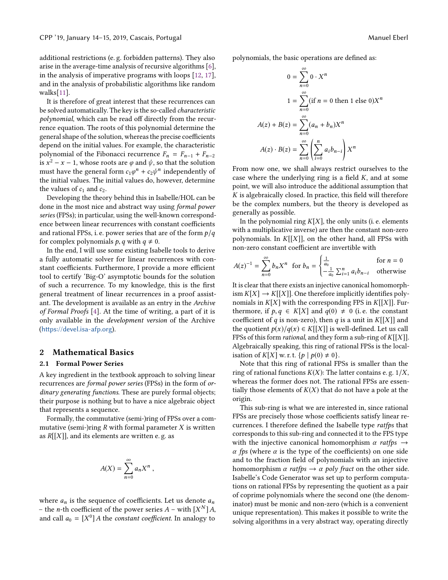additional restrictions (e. g. forbidden patterns). They also arise in the average-time analysis of recursive algorithms [\[6\]](#page-9-0), in the analysis of imperative programs with loops [\[12,](#page-10-1) [17\]](#page-10-2), and in the analysis of probabilistic algorithms like random walks[\[11\]](#page-9-1).

It is therefore of great interest that these recurrences can be solved automatically. The key is the so-called characteristic polynomial, which can be read off directly from the recurrence equation. The roots of this polynomial determine the general shape of the solution, whereas the precise coefficients depend on the initial values. For example, the characteristic polynomial of the Fibonacci recurrence  $F_n = F_{n-1} + F_{n-2}$ is  $x^2 - x - 1$ , whose roots are  $\varphi$  and  $\psi$ , so that the solution<br>must have the general form  $c_1 \varphi^n + c_2 \psi^n$  independently of must have the general form  $c_1\varphi^n + c_2\psi^n$  independently of<br>the initial values. The initial values do, however determine the initial values. The initial values do, however, determine the values of  $c_1$  and  $c_2$ .

Developing the theory behind this in Isabelle/HOL can be done in the most nice and abstract way using formal power series (FPSs); in particular, using the well-known correspondence between linear recurrences with constant coefficients and rational FPSs, i. e. power series that are of the form  $p/q$ for complex polynomials  $p, q$  with  $q \neq 0$ .

In the end, I will use some existing Isabelle tools to derive a fully automatic solver for linear recurrences with constant coefficients. Furthermore, I provide a more efficient tool to certify 'Big-O' asymptotic bounds for the solution of such a recurrence. To my knowledge, this is the first general treatment of linear recurrences in a proof assistant. The development is available as an entry in the Archive of Formal Proofs [\[4\]](#page-9-2). At the time of writing, a part of it is only available in the development version of the Archive (<https://devel.isa-afp.org>).

#### 2 Mathematical Basics

#### 2.1 Formal Power Series

A key ingredient in the textbook approach to solving linear recurrences are formal power series (FPSs) in the form of ordinary generating functions. These are purely formal objects; their purpose is nothing but to have a nice algebraic object that represents a sequence.

Formally, the commutative (semi-)ring of FPSs over a commutative (semi-)ring  $R$  with formal parameter  $X$  is written as  $R[[X]]$ , and its elements are written e.g. as

$$
A(X) = \sum_{n=0}^{\infty} a_n X^n,
$$

where  $a_n$  is the sequence of coefficients. Let us denote  $a_n$ – the *n*-th coefficient of the power series  $A$  – with  $[X^N]A$ ,<br>and call  $a_2 = [X^0]A$  the constant coefficient. In analogy to and call  $a_0 = [X^0] A$  the *constant coefficient*. In analogy to

polynomials, the basic operations are defined as:

$$
0 = \sum_{n=0}^{\infty} 0 \cdot X^n
$$
  

$$
1 = \sum_{n=0}^{\infty} (\text{if } n = 0 \text{ then } 1 \text{ else } 0)X^n
$$
  

$$
A(z) + B(z) = \sum_{n=0}^{\infty} (a_n + b_n)X^n
$$
  

$$
A(z) \cdot B(z) = \sum_{n=0}^{\infty} \left( \sum_{i=0}^n a_i b_{n-i} \right) X^n
$$

From now one, we shall always restrict ourselves to the case where the underlying ring is a field  $K$ , and at some point, we will also introduce the additional assumption that K is algebraically closed. In practice, this field will therefore be the complex numbers, but the theory is developed as generally as possible.

In the polynomial ring  $K[X]$ , the only units (i. e. elements with a multiplicative inverse) are then the constant non-zero polynomials. In  $K[[X]]$ , on the other hand, all FPSs with non-zero constant coefficient are invertible with

$$
A(z)^{-1} = \sum_{n=0}^{\infty} b_n X^n \text{ for } b_n = \begin{cases} \frac{1}{a_0} & \text{for } n = 0\\ -\frac{1}{a_0} \sum_{i=1}^n a_i b_{n-i} & \text{otherwise} \end{cases}
$$

It is clear that there exists an injective canonical homomorph- $\lim K[X] \to K[[X]]$ . One therefore implicitly identifies polynomials in  $K[X]$  with the corresponding FPS in  $K[[X]]$ . Furthermore, if  $p, q \in K[X]$  and  $q(0) \neq 0$  (i.e. the constant coefficient of q is non-zero), then q is a unit in  $K[[X]]$  and the quotient  $p(x)/q(x) \in K[[X]]$  is well-defined. Let us call FPSs of this form *rational*, and they form a sub-ring of  $K[[X]]$ . Algebraically speaking, this ring of rational FPSs is the localisation of  $K[X]$  w. r. t.  $\{p \mid p(0) \neq 0\}$ .

Note that this ring of rational FPSs is smaller than the ring of rational functions  $K(X)$ : The latter contains e.g.  $1/X$ , whereas the former does not. The rational FPSs are essentially those elements of  $K(X)$  that do not have a pole at the origin.

This sub-ring is what we are interested in, since rational FPSs are precisely those whose coefficients satisfy linear recurrences. I therefore defined the Isabelle type ratfps that corresponds to this sub-ring and connected it to the FPS type with the injective canonical homomorphism  $\alpha$  ratfps  $\rightarrow$  $\alpha$  fps (where  $\alpha$  is the type of the coefficients) on one side and to the fraction field of polynomials with an injective homomorphism  $\alpha$  ratfps  $\rightarrow \alpha$  poly fract on the other side. Isabelle's Code Generator was set up to perform computations on rational FPSs by representing the quotient as a pair of coprime polynomials where the second one (the denominator) must be monic and non-zero (which is a convenient unique representation). This makes it possible to write the solving algorithms in a very abstract way, operating directly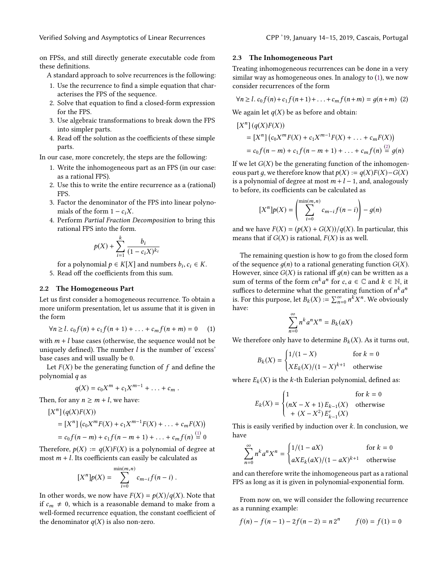Verified Solving and Asymptotics of Linear Recurrences CPP '19, January 14–15, 2019, Cascais, Portugal

on FPSs, and still directly generate executable code from these definitions.

A standard approach to solve recurrences is the following:

- 1. Use the recurrence to find a simple equation that characterises the FPS of the sequence.
- 2. Solve that equation to find a closed-form expression for the FPS.
- 3. Use algebraic transformations to break down the FPS into simpler parts.
- 4. Read off the solution as the coefficients of these simple parts.

In our case, more concretely, the steps are the following:

- 1. Write the inhomogeneous part as an FPS (in our case: as a rational FPS).
- 2. Use this to write the entire recurrence as a (rational) FPS.
- 3. Factor the denominator of the FPS into linear polynomials of the form  $1 - c_iX$ .
- 4. Perform Partial Fraction Decomposition to bring this rational FPS into the form.

$$
p(X) + \sum_{i=1}^{k} \frac{b_i}{(1 - c_i X)^{k_i}}
$$

for a polynomial  $p \in K[X]$  and numbers  $b_i, c_i \in K$ .<br>Read off the coefficients from this sum

5. Read off the coefficients from this sum.

#### <span id="page-2-2"></span>2.2 The Homogeneous Part

Let us first consider a homogeneous recurrence. To obtain a more uniform presentation, let us assume that it is given in the form

<span id="page-2-0"></span>
$$
\forall n \geq l. \ c_0 f(n) + c_1 f(n+1) + \ldots + c_m f(n+m) = 0 \tag{1}
$$

with  $m + l$  base cases (otherwise, the sequence would not be uniquely defined). The number  $l$  is the number of 'excess' uniquely defined). The number  $l$  is the number of 'excess' base cases and will usually be 0.

Let  $F(X)$  be the generating function of f and define the polynomial q as

$$
q(X)=c_0X^m+c_1X^{m-1}+\ldots+c_m.
$$

Then, for any  $n \ge m + l$ , we have:

$$
[Xn] (q(X)F(X))
$$
  
=  $[Xn] (c_0XmF(X) + c_1Xm-1F(X) + ... + c_mF(X))$   
=  $c_0f(n-m) + c_1f(n-m+1) + ... + c_mf(n) \stackrel{(1)}{=} 0$ 

Therefore,  $p(X) := q(X)F(X)$  is a polynomial of degree at most  $m + l$ . Its coefficients can easily be calculated as

$$
[Xn]p(X) = \sum_{i=0}^{\min(m,n)} c_{m-i}f(n-i).
$$

In other words, we now have  $F(X) = p(X)/q(X)$ . Note that if  $c_m \neq 0$ , which is a reasonable demand to make from a well-formed recurrence equation, the constant coefficient of the denominator  $q(X)$  is also non-zero.

#### <span id="page-2-3"></span>2.3 The Inhomogeneous Part

Treating inhomogeneous recurrences can be done in a very similar way as homogeneous ones. In analogy to [\(1\)](#page-2-0), we now consider recurrences of the form

<span id="page-2-1"></span>
$$
\forall n \ge 1. \ c_0 f(n) + c_1 f(n+1) + \ldots + c_m f(n+m) = g(n+m) \tag{2}
$$

We again let  $q(X)$  be as before and obtain:

$$
[Xn] (q(X)F(X))
$$
  
=  $[Xn] (c_0XmF(X) + c_1Xm-1F(X) + ... + c_mF(X))$   
=  $c_0f(n-m) + c_1f(n-m+1) + ... + c_mf(n) \stackrel{(2)}{=} g(n)$ 

If we let  $G(X)$  be the generating function of the inhomogeneous part q, we therefore know that  $p(X) := q(X)F(X) - G(X)$ is a polynomial of degree at most  $m + l - 1$ , and, analogously to before, its coefficients can be calculated as

$$
[X^{n}]p(X) = \left(\sum_{i=0}^{\min(m,n)} c_{m-i}f(n-i)\right) - g(n)
$$

and we have  $F(X) = (p(X) + G(X))/q(X)$ . In particular, this means that if  $G(X)$  is rational,  $F(X)$  is as well.

The remaining question is how to go from the closed form of the sequence  $q(n)$  to a rational generating function  $G(X)$ . However, since  $G(X)$  is rational iff  $q(n)$  can be written as a sum of terms of the form  $cn^k a^n$  for  $c, a \in \mathbb{C}$  and  $k \in \mathbb{N}$ , it suffices to determine what the generating function of  $n^k a^n$ suffices to determine what the generating function of  $n^k a^n$ <br>is For this purpose, let  $B_r(Y) = \sum_{n=0}^{\infty} n^k Y^n$ . We obviously is. For this purpose, let  $B_k(X) := \sum_{n=0}^{\infty} n^k X^n$ . We obviousl  $n$ . We obviously have:

$$
\sum_{n=0}^{\infty} n^k a^n X^n = B_k(aX)
$$

We therefore only have to determine  $B_k(X)$ . As it turns out,

$$
B_k(X) = \begin{cases} 1/(1-X) & \text{for } k = 0\\ XE_k(X)/(1-X)^{k+1} & \text{otherwise} \end{cases}
$$

where  $E_k(X)$  is the k-th Eulerian polynomial, defined as:

$$
E_k(X) = \begin{cases} 1 & \text{for } k = 0\\ (nX - X + 1) E_{k-1}(X) & \text{otherwise} \\ + (X - X^2) E'_{k-1}(X) & \end{cases}
$$

This is easily verified by induction over  $k$ . In conclusion, we<br>have have

$$
\sum_{n=0}^{\infty} n^k a^n X^n = \begin{cases} 1/(1 - aX) & \text{for } k = 0\\ aX E_k(aX)/(1 - aX)^{k+1} & \text{otherwise} \end{cases}
$$

and can therefore write the inhomogeneous part as a rational FPS as long as it is given in polynomial-exponential form.

From now on, we will consider the following recurrence as a running example:

$$
f(n) - f(n-1) - 2f(n-2) = n 2n \qquad f(0) = f(1) = 0
$$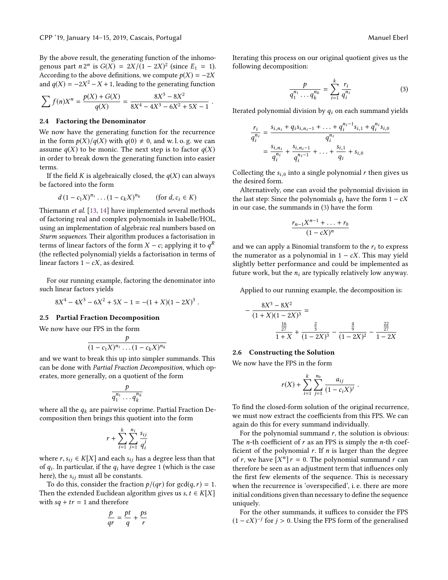By the above result, the generating function of the inhomogenous part  $n 2^n$  is  $G(X) = 2X/(1 - 2X)^2$  (since  $E_1 = 1$ ).<br>According to the above definitions we compute  $p(X) = -2X$ According to the above definitions, we compute  $p(X) = -2X$ and  $q(X) = -2X^2 - X + 1$ , leading to the generating function

$$
\sum f(n)X^n = \frac{p(X) + G(X)}{q(X)} = \frac{8X^3 - 8X^2}{8X^4 - 4X^3 - 6X^2 + 5X - 1}
$$

#### 2.4 Factoring the Denominator

We now have the generating function for the recurrence in the form  $p(X)/q(X)$  with  $q(0) \neq 0$ , and w. l. o. g. we can assume  $q(X)$  to be monic. The next step is to factor  $q(X)$ in order to break down the generating function into easier terms.

If the field K is algebraically closed, the  $q(X)$  can always be factored into the form

$$
d(1 - c_1X)^{n_1} \dots (1 - c_kX)^{n_k}
$$
 (for  $d, c_i \in K$ )

Thiemann et al. [\[13,](#page-10-3) [14\]](#page-10-4) have implemented several methods of factoring real and complex polynomials in Isabelle/HOL, using an implementation of algebraic real numbers based on Sturm sequences. Their algorithm produces a factorisation in terms of linear factors of the form  $X - c$ ; applying it to  $q^R$ <br>(the reflected polynomial) vields a factorisation in terms of (the reflected polynomial) yields a factorisation in terms of linear factors  $1 - cX$ , as desired.

For our running example, factoring the denominator into such linear factors yields

$$
8X^4 - 4X^3 - 6X^2 + 5X - 1 = -(1 + X)(1 - 2X)^3.
$$

#### <span id="page-3-1"></span>2.5 Partial Fraction Decomposition

We now have our FPS in the form

$$
\frac{p}{(1-c_1X)^{n_1}\dots(1-c_kX)^{n_k}}
$$

and we want to break this up into simpler summands. This can be done with Partial Fraction Decomposition, which operates, more generally, on a quotient of the form

$$
\frac{p}{q_1^{n_1}\ldots q_k^{n_k}}
$$

where all the  $q_k$  are pairwise coprime. Partial Fraction Decomposition then brings this quotient into the form

$$
r+\sum_{i=1}^k\sum_{j=1}^{n_i}\frac{s_{ij}}{q_i^j}
$$

where  $r, s_{ij} \in K[X]$  and each  $s_{ij}$  has a degree less than that of  $q_i$ . In particular, if the  $q_i$  have degree 1 (which is the case<br>here), the summit all be constants here), the  $s_{ij}$  must all be constants.

To do this, consider the fraction  $p/(qr)$  for  $gcd(q, r) = 1$ . Then the extended Euclidean algorithm gives us  $s, t \in K[X]$ with  $sq + tr = 1$  and therefore

$$
\frac{p}{qr} = \frac{pt}{q} + \frac{ps}{r}
$$

Iterating this process on our original quotient gives us the following decomposition:

<span id="page-3-0"></span>
$$
\frac{p}{q_1^{n_1} \dots q_k^{n_k}} = \sum_{i=1}^k \frac{r_i}{q_i^{n_i}} \tag{3}
$$

Iterated polynomial division by  $q_i$  on each summand yields

$$
\frac{r_i}{q_i^{n_i}} = \frac{s_{i,n_i} + q_i s_{i,n_i-1} + \ldots + q_i^{n_i-1} s_{i,1} + q_i^{n_i} s_{i,0}}{q_i^{n_i}}
$$

$$
= \frac{s_{i,n_i}}{q_i^{n_i}} + \frac{s_{i,n_i-1}}{q_i^{n_i-1}} + \ldots + \frac{s_{i,1}}{q_i} + s_{i,0}
$$

Collecting the  $s_{i,0}$  into a single polynomial r then gives us the desired form.

Alternatively, one can avoid the polynomial division in the last step: Since the polynomials  $q_i$  have the form  $1 - cX$ in our case, the summands in [\(3\)](#page-3-0) have the form

$$
\frac{r_{n-1}X^{n-1}+\ldots+r_0}{(1-cX)^n}
$$

and we can apply a Binomial transform to the  $r_i$  to express the numerator as a polynomial in  $1 - cX$ . This may yield slightly better performance and could be implemented as future work, but the  $n_i$  are typically relatively low anyway.

Applied to our running example, the decomposition is:

$$
-\frac{8X^3 - 8X^2}{(1+X)(1-2X)^3} = \frac{\frac{16}{27}}{1+X} + \frac{\frac{2}{3}}{(1-2X)^3} - \frac{\frac{4}{9}}{(1-2X)^2} - \frac{\frac{22}{27}}{1-2X}
$$

#### <span id="page-3-2"></span>2.6 Constructing the Solution

We now have the FPS in the form

$$
r(X) + \sum_{i=1}^{k} \sum_{j=1}^{n_0} \frac{a_{ij}}{(1 - c_i X)^j}
$$

To find the closed-form solution of the original recurrence, we must now extract the coefficients from this FPS. We can again do this for every summand individually.

For the polynomial summand  $r$ , the solution is obvious: The *n*-th coefficient of  $r$  as an FPS is simply the *n*-th coefficient of the polynomial  $r$ . If  $n$  is larger than the degree of r, we have  $[X^n]$  r = 0. The polynomial summand r can<br>therefore be seen as an adjustment term that influences only therefore be seen as an adjustment term that influences only the first few elements of the sequence. This is necessary when the recurrence is 'overspecified', i. e. there are more initial conditions given than necessary to define the sequence uniquely.

For the other summands, it suffices to consider the FPS  $(1 - cX)^{-j}$  for  $j > 0$ . Using the FPS form of the generalised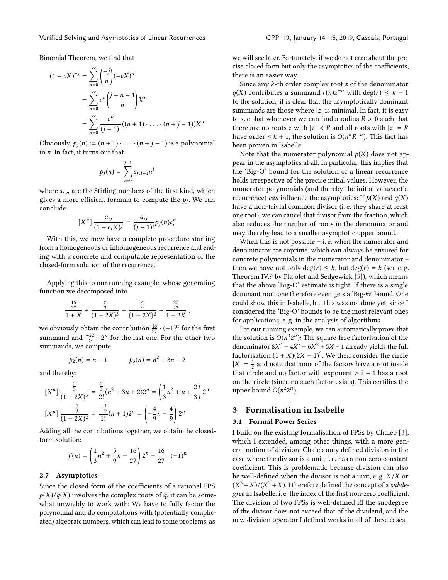Binomial Theorem, we find that

$$
(1 - cX)^{-j} = \sum_{n=0}^{\infty} {\binom{-j}{n}} (-cX)^n
$$
  
= 
$$
\sum_{n=0}^{\infty} c^n {\binom{j+n-1}{n}} X^n
$$
  
= 
$$
\sum_{n=0}^{\infty} \frac{c^n}{(j-1)!} ((n+1) \cdot \ldots \cdot (n+j-1)) X^n
$$

Obviously,  $p_j(n) := (n + 1) \cdot \ldots \cdot (n + j - 1)$  is a polynomial in n. In fact, it turns out that

$$
p_j(n) = \sum_{i=0}^{j-1} s_{j,i+1} n^i
$$

where  $s_{i,n}$  are the Stirling numbers of the first kind, which gives a more efficient formula to compute the  $p_j$ . We can conclude: conclude:

$$
[Xn] \frac{a_{ij}}{(1 - c_i X)^j} = \frac{a_{ij}}{(j-1)!} p_j(n) c_i^n
$$

With this, we now have a complete procedure starting from a homogeneous or inhomogeneous recurrence and ending with a concrete and computable representation of the closed-form solution of the recurrence.

Applying this to our running example, whose generating function we decomposed into

$$
\frac{\frac{16}{27}}{1+X} + \frac{\frac{2}{3}}{(1-2X)^3} - \frac{\frac{4}{9}}{(1-2X)^2} - \frac{\frac{22}{27}}{1-2X},
$$

we obviously obtain the contribution  $\frac{16}{27} \cdot (-1)^n$  for the first summand and  $\frac{-22}{27} \cdot 2^n$  for the last one. For the other two summands, we compute

$$
p_2(n) = n + 1 \qquad \qquad p_3(n) = n^2 + 3n + 2
$$

and thereby:

$$
[Xn] \frac{\frac{2}{3}}{(1-2X)^3} = \frac{\frac{2}{3}}{2!} (n^2 + 3n + 2) 2^n = \left(\frac{1}{3}n^2 + n + \frac{2}{3}\right) 2^n
$$
  

$$
[Xn] \frac{-\frac{4}{9}}{(1-2X)^2} = \frac{-\frac{4}{9}}{1!} (n+1) 2^n = \left(-\frac{4}{9}n - \frac{4}{9}\right) 2^n
$$

Adding all the contributions together, we obtain the closedform solution:

$$
f(n) = \left(\frac{1}{3}n^2 + \frac{5}{9}n - \frac{16}{27}\right)2^n + \frac{16}{27} \cdot (-1)^n
$$

#### 2.7 Asymptotics

Since the closed form of the coefficients of a rational FPS  $p(X)/q(X)$  involves the complex roots of q, it can be somewhat unwieldy to work with: We have to fully factor the polynomial and do computations with (potentially complicated) algebraic numbers, which can lead to some problems, as

we will see later. Fortunately, if we do not care about the precise closed form but only the asymptotics of the coefficients, there is an easier way.

Since any k-th order complex root z of the denominator  $q(X)$  contributes a summand  $r(n)z^{-n}$  with deg(r)  $\leq k - 1$ <br>to the solution it is clear that the asymptotically dominant to the solution, it is clear that the asymptotically dominant summands are those where  $|z|$  is minimal. In fact, it is easy to see that whenever we can find a radius  $R > 0$  such that there are no roots z with  $|z| < R$  and all roots with  $|z| = R$ have order  $\leq k + 1$ , the solution is  $O(n^k)$ <br>been proven in Isabelle −n ). This fact has been proven in Isabelle.

Note that the numerator polynomial  $p(X)$  does not appear in the asymptotics at all. In particular, this implies that the 'Big-O' bound for the solution of a linear recurrence holds irrespective of the precise initial values. However, the numerator polynomials (and thereby the initial values of a recurrence) can influence the asymptotics: If  $p(X)$  and  $q(X)$ have a non-trivial common divisor (i. e. they share at least one root), we can cancel that divisor from the fraction, which also reduces the number of roots in the denominator and may thereby lead to a smaller asymptotic upper bound.

When this is not possible – i. e. when the numerator and denominator are coprime, which can always be ensured for concrete polynomials in the numerator and denominator – then we have not only  $deg(r) \leq k$ , but  $deg(r) = k$  (see e.g. Theorem IV.9 by Flajolet and Sedgewick [\[5\]](#page-9-3)), which means that the above 'Big-O' estimate is tight. If there is a single dominant root, one therefore even gets a 'Big-Θ' bound. One could show this in Isabelle, but this was not done yet, since I considered the 'Big-O' bounds to be the most relevant ones for applications, e. g. in the analysis of algorithms.

For our running example, we can automatically prove that the solution is  $O(n^2 2^n)$ : The square-free factorisation of the full<br>denominator  $8X^4 - 4X^3 - 6X^2 + 5X - 1$  already vields the full denominator  $8X^4 - 4X^3 - 6X^2 + 5X - 1$  already yields the full<br>factorisation  $(1 + X)(2X - 1)^3$ . We then consider the circle factorisation  $(1 + X)(2X - 1)^3$ . We then consider the circle  $|X| - \frac{1}{2}$  and note that none of the factors have a root inside  $|X| = \frac{1}{2}$  and note that none of the factors have a root inside<br>that circle and no factor with exponent  $\ge 2 + 1$  has a root that circle and no factor with exponent  $> 2 + 1$  has a root on the circle (since no such factor exists). This certifies the upper bound  $O(n^2 2^n)$ .

## 3 Formalisation in Isabelle

#### 3.1 Formal Power Series

I build on the existing formalisation of FPSs by Chaieb [\[3\]](#page-9-4), which I extended, among other things, with a more general notion of division: Chaieb only defined division in the case where the divisor is a unit, i. e. has a non-zero constant coefficient. This is problematic because division can also be well-defined when the divisor is not a unit, e.g.  $X/X$  or  $(X^3 + X)/(X^2 + X)$ . I therefore defined the concept of a subde-<br>gree in Isabelle, i.e. the index of the first non-zero coefficient gree in Isabelle, i. e. the index of the first non-zero coefficient. The division of two FPSs is well-defined iff the subdegree of the divisor does not exceed that of the dividend, and the new division operator I defined works in all of these cases.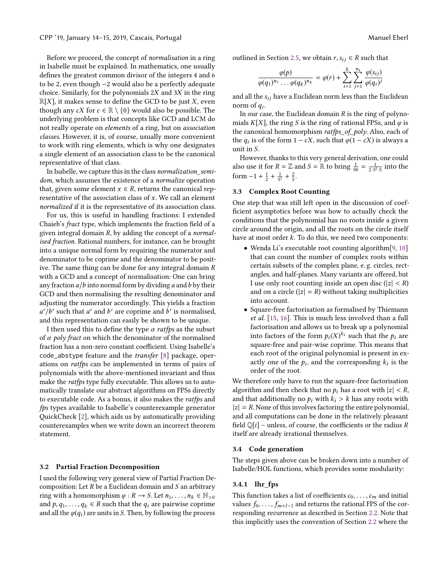Before we proceed, the concept of normalisation in a ring in Isabelle must be explained. In mathematics, one usually defines the greatest common divisor of the integers 4 and 6 to be 2, even though −2 would also be a perfectly adequate choice. Similarly, for the polynomials <sup>2</sup>X and <sup>3</sup>X in the ring  $\mathbb{R}[X]$ , it makes sense to define the GCD to be just X, even though any cX for  $c \in \mathbb{R} \setminus \{0\}$  would also be possible. The underlying problem is that concepts like GCD and LCM do not really operate on elements of a ring, but on association classes. However, it is, of course, usually more convenient to work with ring elements, which is why one designates a single element of an association class to be the canonical representative of that class.

In Isabelle, we capture this in the class normalization semidom, which assumes the existence of a normalize operation that, given some element  $x \in R$ , returns the canonical representative of the association class of  $x$ . We call an element normalized if it is the representative of its association class.

For us, this is useful in handling fractions: I extended Chaieb's fract type, which implements the fraction field of a given integral domain  $R$ , by adding the concept of a *normal*ised fraction. Rational numbers, for instance, can be brought into a unique normal form by requiring the numerator and denominator to be coprime and the denominator to be positive. The same thing can be done for any integral domain R with a GCD and a concept of normalisation: One can bring any fraction  $a/b$  into normal form by dividing a and b by their GCD and then normalising the resulting denominator and adjusting the numerator accordingly. This yields a fraction a and this representation can easily be shown to be unique.  $\frac{d}{dt}$  such that a' and b' are coprime and b' is normalised,<br>nd this representation can easily be shown to be unique

I then used this to define the type  $\alpha$  ratfps as the subset of  $\alpha$  poly fract on which the denominator of the normalised fraction has a non-zero constant coefficient. Using Isabelle's code\_abstype feature and the transfer [\[8\]](#page-9-5) package, operations on ratfps can be implemented in terms of pairs of polynomials with the above-mentioned invariant and thus make the ratfps type fully executable. This allows us to automatically translate our abstract algorithms on FPSs directly to executable code. As a bonus, it also makes the ratfps and fps types available to Isabelle's counterexample generator QuickCheck [\[2\]](#page-9-6), which aids us by automatically providing counterexamples when we write down an incorrect theorem statement.

#### 3.2 Partial Fraction Decomposition

I used the following very general view of Partial Fraction Decomposition: Let  $R$  be a Euclidean domain and  $S$  an arbitrary ring with a homomorphism  $\varphi : R \to S$ . Let  $n_1, \ldots, n_k \in \mathbb{N}_{>0}$ and  $p, q_1, \ldots, q_k \in R$  such that the  $q_i$  are pairwise coprime and all the  $\varphi(q_i)$  are units in S. Then, by following the process

outlined in Section [2.5,](#page-3-1) we obtain  $r, s_{ij} \in R$  such that

$$
\frac{\varphi(p)}{\varphi(q_1)^{n_1}\ldots\varphi(q_k)^{n_k}}=\varphi(r)+\sum_{i=1}^k\sum_{j=1}^{n_i}\frac{\varphi(s_{ij})}{\varphi(q_i)^j}
$$

and all the  $s_{ij}$  have a Euclidean norm less than the Euclidean norm of  $q_i$ .<br>In our ca

In our case, the Euclidean domain  $R$  is the ring of polynomials K[X], the ring S is the ring of rational FPSs, and  $\varphi$  is the canonical homomorphism ratfps\_of\_poly. Also, each of the  $q_i$  is of the form  $1 - cX$ , such that  $\varphi(1 - cX)$  is always a unit in S unit in S.

However, thanks to this very general derivation, one could also use it for  $R = \mathbb{Z}$  and  $S = \mathbb{R}$  to bring  $\frac{1}{90} = \frac{1}{2 \cdot 3^2 \cdot 5}$  into the form  $-1 + \frac{1}{2} + \frac{1}{3^2} + \frac{2}{5}$ .

#### 3.3 Complex Root Counting

One step that was still left open in the discussion of coefficient asymptotics before was how to actually check the conditions that the polynomial has no roots inside a given circle around the origin, and all the roots on the circle itself have at most order k. To do this, we need two components:

- Wenda Li's executable root counting algorithm[\[9,](#page-9-7) [10\]](#page-9-8) that can count the number of complex roots within certain subsets of the complex plane, e. g. circles, rectangles, and half-planes. Many variants are offered, but I use only root counting inside an open disc ( $|z| < R$ ) and on a circle ( $|z| = R$ ) without taking multiplicities into account.
- Square-free factorisation as formalised by Thiemann et al. [\[15,](#page-10-5) [16\]](#page-10-6). This is much less involved than a full factorisation and allows us to break up a polynomial into factors of the form  $p_i(X)^{k_i}$  such that the  $p_i$  are<br>square-free and pair-wise continue. This means that square-free and pair-wise coprime. This means that each root of the original polynomial is present in exactly one of the  $p_i$ , and the corresponding  $k_i$  is the order of the root order of the root.

We therefore only have to run the square-free factorisation algorithm and then check that no  $p_i$  has a root with  $|z| < R$ , and that additionally no  $p_i$  with  $k_i > k$  has any roots with  $|z| = R$ . None of this involves factoring the entire polynomial, and all computations can be done in the relatively pleasant field  $\mathbb{Q}[i]$  – unless, of course, the coefficients or the radius R itself are already irrational themselves.

#### 3.4 Code generation

The steps given above can be broken down into a number of Isabelle/HOL functions, which provides some modularity:

#### 3.4.1 lhr\_fps

This function takes a list of coefficients  $c_0, \ldots, c_m$  and initial values  $f_0, \ldots, f_{m+l-1}$  and returns the rational FPS of the corresponding recurrence as described in Section [2.2.](#page-2-2) Note that this implicitly uses the convention of Section [2.2](#page-2-2) where the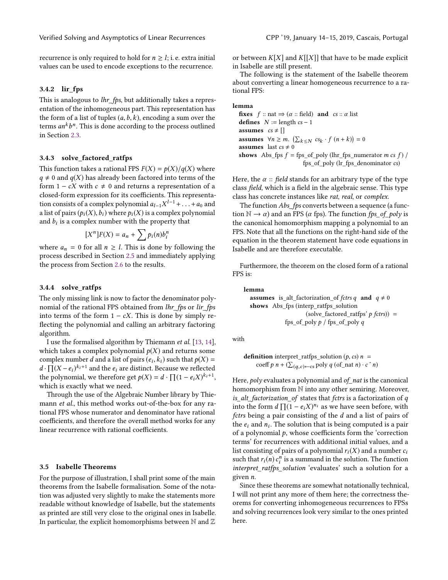recurrence is only required to hold for  $n \geq l$ ; i. e. extra initial values can be used to encode exceptions to the recurrence.

### 3.4.2 lir\_fps

This is analogous to *lhr\_fps*, but additionally takes a representation of the inhomogeneous part. This representation has the form of a list of tuples  $(a, b, k)$ , encoding a sum over the terms  $an^k b^n$ . This is done according to the process outlined<br>in Section 2.3 b in Section [2.3.](#page-2-3)

#### 3.4.3 solve\_factored\_ratfps

This function takes a rational FPS  $F(X) = p(X)/q(X)$  where  $q \neq 0$  and  $q(X)$  has already been factored into terms of the form  $1 - cX$  with  $c \neq 0$  and returns a representation of a closed-form expression for its coefficients. This representation consists of a complex polynomial  $a_{l-1}X^{l-1}+\ldots+a_0$  and<br>a list of pairs  $(a(X), b)$  where  $a(X)$  is a complex polynomial a list of pairs  $(p_i(X), b_i)$  where  $p_i(X)$  is a complex polynomial and  $b_i$  is a complex number with the property that

$$
[Xn]F(X) = an + \sum p_i(n)b_i^n
$$

where  $a_n = 0$  for all  $n \geq l$ . This is done by following the process described in Section [2.5](#page-3-1) and immediately applying the process from Section [2.6](#page-3-2) to the results.

#### 3.4.4 solve\_ratfps

The only missing link is now to factor the denominator polynomial of the rational FPS obtained from lhr fps or lir fps into terms of the form  $1 - cX$ . This is done by simply reflecting the polynomial and calling an arbitrary factoring algorithm.

I use the formalised algorithm by Thiemann et al. [\[13,](#page-10-3) [14\]](#page-10-4), which takes a complex polynomial  $p(X)$  and returns some complex number d and a list of pairs  $(e_i, k_i)$  such that  $p(X) = d \cdot \prod(X - e_i)^{k_i+1}$  and the equator distinct. Because we reflected  $d \cdot \prod (X - e_i)^{k_i+1}$  and the  $e_i$  are distinct. Because we reflected<br>the polynomial, we therefore get  $p(X) = d \cdot \prod (1 - e_i X)^{k_i+1}$ the polynomial, we therefore get  $p(X) = d \cdot \prod_{i=1}^{n} (1 - e_i X)^{k_i + 1}$ , which is exactly what we need.

Through the use of the Algebraic Number library by Thiemann et al., this method works out-of-the-box for any rational FPS whose numerator and denominator have rational coefficients, and therefore the overall method works for any linear recurrence with rational coefficients.

## 3.5 Isabelle Theorems

For the purpose of illustration, I shall print some of the main theorems from the Isabelle formalisation. Some of the notation was adjusted very slightly to make the statements more readable without knowledge of Isabelle, but the statements as printed are still very close to the original ones in Isabelle. In particular, the explicit homomorphisms between  $\mathbb N$  and  $\mathbb Z$ 

or between  $K[X]$  and  $K[[X]]$  that have to be made explicit in Isabelle are still present.

The following is the statement of the Isabelle theorem about converting a linear homogeneous recurrence to a rational FPS:

#### lemma

fixes  $f$  :: nat  $\Rightarrow (\alpha$  :: field) and  $cs :: \alpha$  list defines  $N :=$  length  $cs - 1$ assumes  $cs \neq []$ **assumes**  $\forall n \ge m$ .  $(\sum_{k \le N} cs_k \cdot f(n+k)) = 0$ **assumes** last  $cs \neq 0$ shows Abs\_fps  $f = fps_of</del>noly (lhr_fps_numerator$ *m cs f* $) /$ fps\_of\_poly (lr\_fps\_denominator cs)

Here, the  $\alpha$  :: field stands for an arbitrary type of the type class field, which is a field in the algebraic sense. This type class has concrete instances like rat, real, or complex.

The function *Abs\_fps* converts between a sequence (a function  $\mathbb{N} \to \alpha$ ) and an FPS ( $\alpha$  fps). The function fps\_of\_poly is the canonical homomorphism mapping a polynomial to an FPS. Note that all the functions on the right-hand side of the equation in the theorem statement have code equations in Isabelle and are therefore executable.

Furthermore, the theorem on the closed form of a rational FPS is:

lemma **assumes** is alt factorization of fctrs q **and**  $q \neq 0$ shows Abs\_fps (interp\_ratfps\_solution  $(solve_factored_raffps' p fctrs)$  = fps\_of\_poly  $p /$  fps\_of\_poly  $q$ 

with

**definition** interpret\_atfps\_solution 
$$
(p, cs) n =
$$
  
coeff  $p n + (\sum_{(q, c) \leftarrow cs} \text{poly } q \text{ (of_n at } n) \cdot c^n n)$ 

Here,  $poly$  evaluates a polynomial and of nat is the canonical homomorphism from N into any other semiring. Moreover, is\_alt\_factorization\_of states that fctrs is a factorization of q into the form  $d \prod (1 - e_i X)^{n_i}$  as we have seen before, with fetrs being a pair consisting of the d and a list of pairs of fctrs being a pair consisting of the d and a list of pairs of the  $e_i$  and  $n_i$ . The solution that is being computed is a pair<br>of a polynomial  $\alpha$  whose coefficients form the 'correction of a polynomial  $p$ , whose coefficients form the 'correction terms' for recurrences with additional initial values, and a list consisting of pairs of a polynomial  $r_i(X)$  and a number  $c_i$ such that  $r_i(n)c_i^n$  is a summand in the solution. The function<br>interpret ratios solution 'evaluates' such a solution for a interpret ratfps solution 'evaluates' such a solution for a given n.

Since these theorems are somewhat notationally technical, I will not print any more of them here; the correctness theorems for converting inhomogeneous recurrences to FPSs and solving recurrences look very similar to the ones printed here.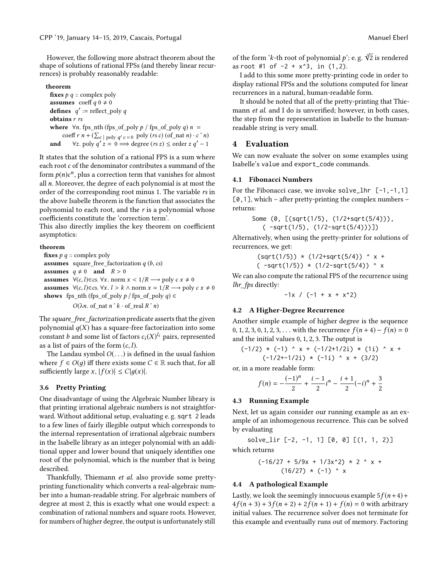However, the following more abstract theorem about the shape of solutions of rational FPSs (and thereby linear recurrences) is probably reasonably readable:

#### theorem

fixes  $p \, q$  :: complex poly assumes coeff  $q \neq 0$ **defines**  $q' := \text{reflect\_poly } q$ <br>obtains r rs obtains r rs where  $\forall n$ . fps\_nth (fps\_of\_poly p / fps\_of\_poly q) n = coeff r  $n + (\sum_{c} | \text{poly } q' c = 0 \text{ poly (rs } c) (\text{of} \text{ and } n) \cdot c \hat{ } n)$ and  $\forall z.$  poly  $q' z = 0 \Longrightarrow$  degree  $(rs z) \leq$  order  $z q' - 1$ 

It states that the solution of a rational FPS is a sum where each root  $c$  of the denominator contributes a summand of the form  $p(n)c^n$ , plus a correction term that vanishes for almost<br>all *n*. Moreover, the degree of each polynomial is at most the all n. Moreover, the degree of each polynomial is at most the order of the corresponding root minus 1. The variable rs in the above Isabelle theorem is the function that associates the polynomial to each root, and the r is a polynomial whose coefficients constitute the 'correction term'.

This also directly implies the key theorem on coefficient asymptotics:

#### theorem

fixes  $p \, q$  :: complex poly **assumes** square\_free\_factorization  $q(b, cs)$ assumes  $q \neq 0$  and  $R > 0$ assumes  $\forall (c, l) \in cs$ .  $\forall x$ . norm  $x < 1/R$  → poly  $c x \neq 0$ assumes  $\forall (c, l) \in \text{cs.} \forall x. l > k \land \text{norm } x = 1/R \rightarrow \text{poly } c x \neq 0$ shows fps\_nth (fps\_of\_poly  $p /$  fps\_of\_poly  $q$ )  $\in$ 

 $O(\lambda n.$  of\_nat  $n \hat{k} \cdot$  of\_real  $R \hat{r}$ )

The square free factorization predicate asserts that the given polynomial  $q(X)$  has a square-free factorization into some constant *b* and some list of factors  $c_i(X)^{l_i}$  pairs, represented<br>as a list of pairs of the form  $(c, l)$ as a list of pairs of the form  $(c, l)$ .

The Landau symbol  $O(\ldots)$  is defined in the usual fashion where  $f \in O(q)$  iff there exists some  $C \in \mathbb{R}$  such that, for all sufficiently large x,  $|f(x)| \le C|q(x)|$ .

#### 3.6 Pretty Printing

One disadvantage of using the Algebraic Number library is that printing irrational algebraic numbers is not straightforward. Without additional setup, evaluating e. g. sqrt 2 leads to a few lines of fairly illegible output which corresponds to the internal representation of irrational algebraic numbers in the Isabelle library as an integer polynomial with an additional upper and lower bound that uniquely identifies one root of the polynomial, which is the number that is being described.

Thankfully, Thiemann et al. also provide some prettyprinting functionality which converts a real-algebraic number into a human-readable string. For algebraic numbers of degree at most 2, this is exactly what one would expect: a combination of rational numbers and square roots. However, for numbers of higher degree, the output is unfortunately still

of the form 'k-th root of polynomial  $p$ '; e. g.  $\sqrt[3]{2}$  is rendered<br>as root #1 of  $-2 + x^3$ , in (1,2) as root #1 of  $-2 + x^3$ , in  $(1,2)$ .

I add to this some more pretty-printing code in order to display rational FPSs and the solutions computed for linear recurrences in a natural, human-readable form.

It should be noted that all of the pretty-printing that Thiemann *et al.* and I do is unverified; however, in both cases, the step from the representation in Isabelle to the humanreadable string is very small.

## 4 Evaluation

We can now evaluate the solver on some examples using Isabelle's value and export\_code commands.

#### 4.1 Fibonacci Numbers

For the Fibonacci case, we invoke solve\_lhr  $[-1,-1,1]$  $[0,1]$ , which – after pretty-printing the complex numbers – returns:

Some (0, [(sqrt(1/5), (1/2+sqrt(5/4))), ( -sqrt(1/5), (1/2-sqrt(5/4)))])

Alternatively, when using the pretty-printer for solutions of recurrences, we get:

$$
(sqrt(1/5)) * (1/2+sqrt(5/4)) ^ x +
$$
  
 $( -sqrt(1/5)) * (1/2-sqrt(5/4)) ^ x$ 

We can also compute the rational FPS of the recurrence using lhr\_fps directly:

 $-1x / (-1 + x + x^2)$ 

## 4.2 A Higher-Degree Recurrence

Another simple example of higher degree is the sequence 0, 1, 2, 3, 0, 1, 2, 3, . . . with the recurrence  $f(n + 4) - f(n) = 0$ and the initial values <sup>0</sup>, <sup>1</sup>, <sup>2</sup>, 3. The output is

$$
(-1/2) * (-1) * x + (-1/2+1/2i) * (1i) * x +
$$
  
 $(-1/2+1/2i) * (-1i) * x + (3/2)$ 

or, in a more readable form:

$$
f(n) = -\frac{(-1)^n}{2} + \frac{i-1}{2}i^n - \frac{i+1}{2}(-i)^n + \frac{3}{2}
$$

#### 4.3 Running Example

Next, let us again consider our running example as an example of an inhomogenous recurrence. This can be solved by evaluating

solve\_lir [-2, -1, 1] [0, 0] [(1, 1, 2)] which returns

$$
(-16/27 + 5/9x + 1/3x^2) \times 2 \times x +
$$
  
(16/27) \times (-1) \times x

#### 4.4 A pathological Example

Lastly, we look the seemingly innocuous example  $5f(n+4)$ +  $4f(n+3) + 3f(n+2) + 2f(n+1) + f(n) = 0$  with arbitrary initial values. The recurrence solver does not terminate for this example and eventually runs out of memory. Factoring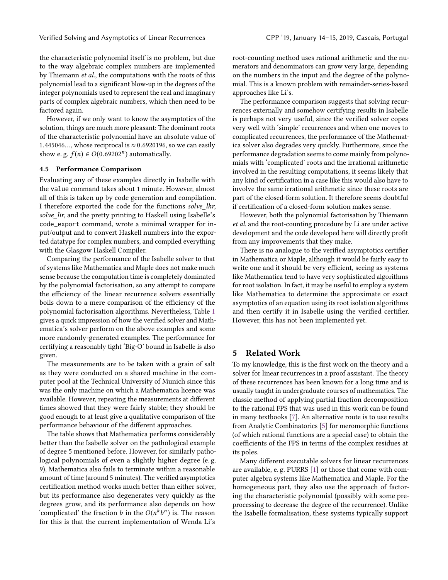the characteristic polynomial itself is no problem, but due to the way algebraic complex numbers are implemented by Thiemann et al., the computations with the roots of this polynomial lead to a significant blow-up in the degrees of the integer polynomials used to represent the real and imaginary parts of complex algebraic numbers, which then need to be factored again.

However, if we only want to know the asymptotics of the solution, things are much more pleasant: The dominant roots of the characteristic polynomial have an absolute value of 1.445046..., whose reciprocal is  $\approx 0.6920196$ , so we can easily show e.g.  $f(n) \in O(0.69202^n)$  automatically.

#### 4.5 Performance Comparison

Evaluating any of these examples directly in Isabelle with the value command takes about 1 minute. However, almost all of this is taken up by code generation and compilation. I therefore exported the code for the functions solve lhr, solve\_lir, and the pretty printing to Haskell using Isabelle's code\_export command, wrote a minimal wrapper for input/output and to convert Haskell numbers into the exported datatype for complex numbers, and compiled everything with the Glasgow Haskell Compiler.

Comparing the performance of the Isabelle solver to that of systems like Mathematica and Maple does not make much sense because the computation time is completely dominated by the polynomial factorisation, so any attempt to compare the efficiency of the linear recurrence solvers essentially boils down to a mere comparison of the efficiency of the polynomial factorisation algorithms. Nevertheless, Table [1](#page-9-9) gives a quick impression of how the verified solver and Mathematica's solver perform on the above examples and some more randomly-generated examples. The performance for certifying a reasonably tight 'Big-O' bound in Isabelle is also given.

The measurements are to be taken with a grain of salt as they were conducted on a shared machine in the computer pool at the Technical University of Munich since this was the only machine on which a Mathematica licence was available. However, repeating the measurements at different times showed that they were fairly stable; they should be good enough to at least give a qualitative comparison of the performance behaviour of the different approaches.

The table shows that Mathematica performs considerably better than the Isabelle solver on the pathological example of degree 5 mentioned before. However, for similarly pathological polynomials of even a slightly higher degree (e. g. 9), Mathematica also fails to terminate within a reasonable amount of time (around 5 minutes). The verified asymptotics certification method works much better than either solver, but its performance also degenerates very quickly as the degrees grow, and its performance also depends on how 'complicated' the fraction *b* in the  $O(n^k b^n)$  is. The reason for this is that the current implementation of Wenda Li's b for this is that the current implementation of Wenda Li's

root-counting method uses rational arithmetic and the numerators and denominators can grow very large, depending on the numbers in the input and the degree of the polynomial. This is a known problem with remainder-series-based approaches like Li's.

The performance comparison suggests that solving recurrences externally and somehow certifying results in Isabelle is perhaps not very useful, since the verified solver copes very well with 'simple' recurrences and when one moves to complicated recurrences, the performance of the Mathematica solver also degrades very quickly. Furthermore, since the performance degradation seems to come mainly from polynomials with 'complicated' roots and the irrational arithmetic involved in the resulting computations, it seems likely that any kind of certification in a case like this would also have to involve the same irrational arithmetic since these roots are part of the closed-form solution. It therefore seems doubtful if certification of a closed-form solution makes sense.

However, both the polynomial factorisation by Thiemann et al. and the root-counting procedure by Li are under active development and the code developed here will directly profit from any improvements that they make.

There is no analogue to the verified asymptotics certifier in Mathematica or Maple, although it would be fairly easy to write one and it should be very efficient, seeing as systems like Mathematica tend to have very sophisticated algorithms for root isolation. In fact, it may be useful to employ a system like Mathematica to determine the approximate or exact asymptotics of an equation using its root isolation algorithms and then certify it in Isabelle using the verified certifier. However, this has not been implemented yet.

## 5 Related Work

To my knowledge, this is the first work on the theory and a solver for linear recurrences in a proof assistant. The theory of these recurrences has been known for a long time and is usually taught in undergraduate courses of mathematics. The classic method of applying partial fraction decomposition to the rational FPS that was used in this work can be found in many textbooks [\[7\]](#page-9-10). An alternative route is to use results from Analytic Combinatorics [\[5\]](#page-9-3) for meromorphic functions (of which rational functions are a special case) to obtain the coefficients of the FPS in terms of the complex residues at its poles.

Many different executable solvers for linear recurrences are available, e. g. PURRS [\[1\]](#page-9-11) or those that come with computer algebra systems like Mathematica and Maple. For the homogeneous part, they also use the approach of factoring the characteristic polynomial (possibly with some preprocessing to decrease the degree of the recurrence). Unlike the Isabelle formalisation, these systems typically support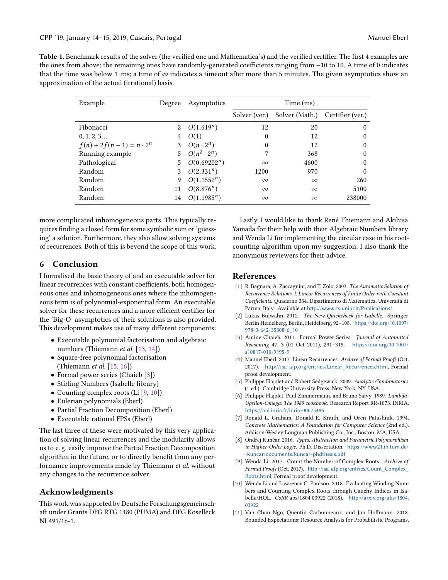<span id="page-9-9"></span>Table 1. Benchmark results of the solver (the verified one and Mathematica's) and the verified certifier. The first 4 examples are the ones from above; the remaining ones have randomly-generated coefficients ranging from −10 to 10. A time of 0 indicates that the time was below 1 ms; a time of  $\infty$  indicates a timeout after more than 5 minutes. The given asymptotics show an approximation of the actual (irrational) basis.

| Example                        | Degree      | Asymptotics        | Time (ms)     |                                 |          |
|--------------------------------|-------------|--------------------|---------------|---------------------------------|----------|
|                                |             |                    | Solver (ver.) | Solver (Math.) Certifier (ver.) |          |
| Fibonacci                      | 2           | $O(1.619^n)$       | 12            | 20                              | 0        |
| 0, 1, 2, 3                     | 4           | O(1)               | 0             | 12                              | $\Omega$ |
| $f(n) + 2f(n-1) = n \cdot 2^n$ | 3           | $O(n \cdot 2^n)$   | $\mathbf{0}$  | 12                              | $\Omega$ |
| Running example                | $5^{\circ}$ | $O(n^2 \cdot 2^n)$ | 7             | 368                             | $\theta$ |
| Pathological                   | 5           | $O(0.69202^n)$     | $\infty$      | 4600                            | $\theta$ |
| Random                         | 3           | $O(2.331^n)$       | 1200          | 970                             | $\theta$ |
| Random                         | 9           | $O(1.1552^n)$      | $\infty$      | $\infty$                        | 260      |
| Random                         | 11          | $O(8.876^n)$       | $\infty$      | $\infty$                        | 5100     |
| Random                         | 14          | $O(1.1985^n)$      | $\infty$      | $\infty$                        | 238000   |
|                                |             |                    |               |                                 |          |

more complicated inhomogeneous parts. This typically requires finding a closed form for some symbolic sum or 'guessing' a solution. Furthermore, they also allow solving systems of recurrences. Both of this is beyond the scope of this work.

## 6 Conclusion

I formalised the basic theory of and an executable solver for linear recurrences with constant coefficients, both homogeneous ones and inhomogeneous ones where the inhomogeneous term is of polynomial-exponential form. An executable solver for these recurrences and a more efficient certifier for the 'Big-O' asymptotics of their solutions is also provided. This development makes use of many different components:

- Executable polynomial factorisation and algebraic numbers (Thiemann et al. [\[13,](#page-10-3) [14\]](#page-10-4))
- Square-free polynomial factorisation (Thiemann et al. [\[15,](#page-10-5) [16\]](#page-10-6))
- Formal power series (Chaieb [\[3\]](#page-9-4))
- Stirling Numbers (Isabelle library)
- Counting complex roots (Li [\[9,](#page-9-7) [10\]](#page-9-8))
- Eulerian polynomials (Eberl)
- Partial Fraction Decomposition (Eberl)
- Executable rational FPSs (Eberl)

The last three of these were motivated by this very application of solving linear recurrences and the modularity allows us to e. g. easily improve the Partial Fraction Decomposition algorithm in the future, or to directly benefit from any performance improvements made by Thiemann et al. without any changes to the recurrence solver.

## Acknowledgments

This work was supported by Deutsche Forschungsgemeinschaft under Grants DFG RTG 1480 (PUMA) and DFG Koselleck NI 491/16-1.

Lastly, I would like to thank René Thiemann and Akihisa Yamada for their help with their Algebraic Numbers library and Wenda Li for implementing the circular case in his rootcounting algorithm upon my suggestion. I also thank the anonymous reviewers for their advice.

## References

- <span id="page-9-11"></span>[1] R. Bagnara, A. Zaccagnini, and T. Zolo. 2003. The Automatic Solution of Recurrence Relations. I. Linear Recurrences of Finite Order with Constant Coefficients. Quaderno 334. Dipartimento di Matematica, Università di Parma, Italy. Available at <http://www.cs.unipr.it/Publications/>.
- <span id="page-9-6"></span>[2] Lukas Bulwahn. 2012. The New Quickcheck for Isabelle. Springer Berlin Heidelberg, Berlin, Heidelberg, 92–108. [https://doi.org/10.1007/](https://doi.org/10.1007/978-3-642-35308-6_10) [978-3-642-35308-6\\_10](https://doi.org/10.1007/978-3-642-35308-6_10)
- <span id="page-9-4"></span>[3] Amine Chaieb. 2011. Formal Power Series. Journal of Automated Reasoning 47, 3 (01 Oct 2011), 291–318. [https://doi.org/10.1007/](https://doi.org/10.1007/s10817-010-9195-9) [s10817-010-9195-9](https://doi.org/10.1007/s10817-010-9195-9)
- <span id="page-9-2"></span>[4] Manuel Eberl. 2017. Linear Recurrences. Archive of Formal Proofs (Oct. 2017). [http://isa-afp.org/entries/Linear\\_Recurrences.html](http://isa-afp.org/entries/Linear_Recurrences.html), Formal proof development.
- <span id="page-9-3"></span>[5] Philippe Flajolet and Robert Sedgewick. 2009. Analytic Combinatorics (1 ed.). Cambridge University Press, New York, NY, USA.
- <span id="page-9-0"></span>[6] Philippe Flajolet, Paul Zimmermann, and Bruno Salvy. 1989. Lambda-Upsilon-Omega: The 1989 cookbook. Research Report RR-1073. INRIA. <https://hal.inria.fr/inria-00075486>
- <span id="page-9-10"></span>[7] Ronald L. Graham, Donald E. Knuth, and Oren Patashnik. 1994. Concrete Mathematics: A Foundation for Computer Science (2nd ed.). Addison-Wesley Longman Publishing Co., Inc., Boston, MA, USA.
- <span id="page-9-5"></span>[8] Ondřej Kunčar. 2016. Types, Abstraction and Parametric Polymorphism in Higher-Order Logic. Ph.D. Dissertation. [https://www21.in.tum.de/](https://www21.in.tum.de/~kuncar/documents/kuncar-phdthesis.pdf) [~kuncar/documents/kuncar-phdthesis.pdf](https://www21.in.tum.de/~kuncar/documents/kuncar-phdthesis.pdf)
- <span id="page-9-7"></span>[9] Wenda Li. 2017. Count the Number of Complex Roots. Archive of Formal Proofs (Oct. 2017). [http://isa-afp.org/entries/Count\\_Complex\\_](http://isa-afp.org/entries/Count_Complex_Roots.html) [Roots.html](http://isa-afp.org/entries/Count_Complex_Roots.html), Formal proof development.
- <span id="page-9-8"></span>[10] Wenda Li and Lawrence C. Paulson. 2018. Evaluating Winding Numbers and Counting Complex Roots through Cauchy Indices in Isabelle/HOL. CoRR abs/1804.03922 (2018). [http://arxiv.org/abs/1804.](http://arxiv.org/abs/1804.03922) [03922](http://arxiv.org/abs/1804.03922)
- <span id="page-9-1"></span>[11] Van Chan Ngo, Quentin Carbonneaux, and Jan Hoffmann. 2018. Bounded Expectations: Resource Analysis for Probabilistic Programs.